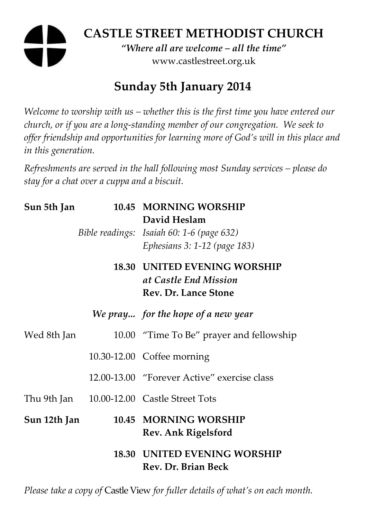# **CASTLE STREET METHODIST CHURCH**

*"Where all are welcome – all the time"*  www.castlestreet.org.uk

## **Sunday 5th January 2014**

*Welcome to worship with us – whether this is the first time you have entered our church, or if you are a long-standing member of our congregation. We seek to offer friendship and opportunities for learning more of God's will in this place and in this generation.* 

*Refreshments are served in the hall following most Sunday services – please do stay for a chat over a cuppa and a biscuit.* 

| Sun 5th Jan  | 10.45 MORNING WORSHIP<br>David Heslam                        |
|--------------|--------------------------------------------------------------|
|              | Bible readings: Isaiah 60: 1-6 (page 632)                    |
|              | Ephesians 3: 1-12 (page 183)                                 |
|              | <b>18.30 UNITED EVENING WORSHIP</b><br>at Castle End Mission |
|              | Rev. Dr. Lance Stone                                         |
|              | We pray for the hope of a new year                           |
| Wed 8th Jan  | 10.00 "Time To Be" prayer and fellowship                     |
|              | 10.30-12.00 Coffee morning                                   |
|              | 12.00-13.00 "Forever Active" exercise class                  |
|              | Thu 9th Jan 10.00-12.00 Castle Street Tots                   |
| Sun 12th Jan | 10.45 MORNING WORSHIP<br><b>Rev. Ank Rigelsford</b>          |
|              | <b>18.30 UNITED EVENING WORSHIP</b><br>Rev. Dr. Brian Beck   |

*Please take a copy of* Castle View *for fuller details of what's on each month.*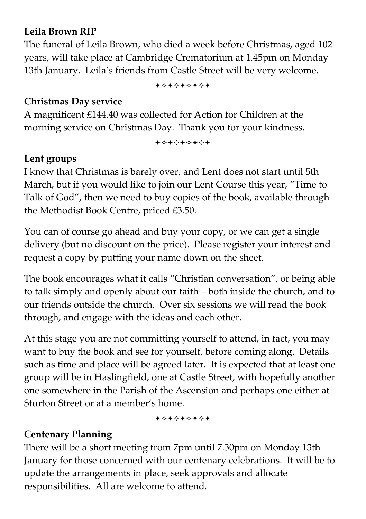### **Leila Brown RIP**

The funeral of Leila Brown, who died a week before Christmas, aged 102 years, will take place at Cambridge Crematorium at 1.45pm on Monday 13th January. Leila's friends from Castle Street will be very welcome.

+\*\*\*\*\*\*\*

#### **Christmas Day service**

A magnificent £144.40 was collected for Action for Children at the morning service on Christmas Day. Thank you for your kindness.

+\*\*\*\*\*\*\*

#### **Lent groups**

I know that Christmas is barely over, and Lent does not start until 5th March, but if you would like to join our Lent Course this year, "Time to Talk of God", then we need to buy copies of the book, available through the Methodist Book Centre, priced £3.50.

You can of course go ahead and buy your copy, or we can get a single delivery (but no discount on the price). Please register your interest and request a copy by putting your name down on the sheet.

The book encourages what it calls "Christian conversation", or being able to talk simply and openly about our faith – both inside the church, and to our friends outside the church. Over six sessions we will read the book through, and engage with the ideas and each other.

At this stage you are not committing yourself to attend, in fact, you may want to buy the book and see for yourself, before coming along. Details such as time and place will be agreed later. It is expected that at least one group will be in Haslingfield, one at Castle Street, with hopefully another one somewhere in the Parish of the Ascension and perhaps one either at Sturton Street or at a member's home.

+\*+\*+\*+\*+

### **Centenary Planning**

There will be a short meeting from 7pm until 7.30pm on Monday 13th January for those concerned with our centenary celebrations. It will be to update the arrangements in place, seek approvals and allocate responsibilities. All are welcome to attend.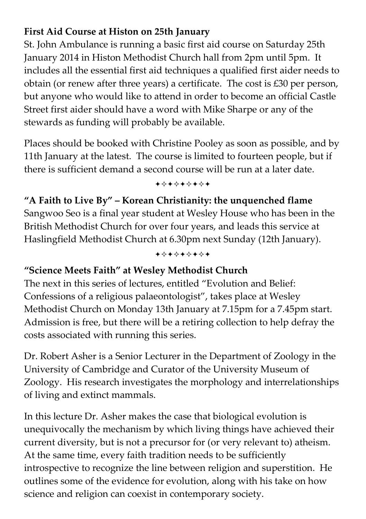## **First Aid Course at Histon on 25th January**

St. John Ambulance is running a basic first aid course on Saturday 25th January 2014 in Histon Methodist Church hall from 2pm until 5pm. It includes all the essential first aid techniques a qualified first aider needs to obtain (or renew after three years) a certificate. The cost is £30 per person, but anyone who would like to attend in order to become an official Castle Street first aider should have a word with Mike Sharpe or any of the stewards as funding will probably be available.

Places should be booked with Christine Pooley as soon as possible, and by 11th January at the latest. The course is limited to fourteen people, but if there is sufficient demand a second course will be run at a later date.

+\*\*\*\*\*\*\*

**"A Faith to Live By" – Korean Christianity: the unquenched flame**  Sangwoo Seo is a final year student at Wesley House who has been in the British Methodist Church for over four years, and leads this service at Haslingfield Methodist Church at 6.30pm next Sunday (12th January).

#### +\*\*\*\*\*\*\*

## **"Science Meets Faith" at Wesley Methodist Church**

The next in this series of lectures, entitled "Evolution and Belief: Confessions of a religious palaeontologist", takes place at Wesley Methodist Church on Monday 13th January at 7.15pm for a 7.45pm start. Admission is free, but there will be a retiring collection to help defray the costs associated with running this series.

Dr. Robert Asher is a Senior Lecturer in the Department of Zoology in the University of Cambridge and Curator of the University Museum of Zoology. His research investigates the morphology and interrelationships of living and extinct mammals.

In this lecture Dr. Asher makes the case that biological evolution is unequivocally the mechanism by which living things have achieved their current diversity, but is not a precursor for (or very relevant to) atheism. At the same time, every faith tradition needs to be sufficiently introspective to recognize the line between religion and superstition. He outlines some of the evidence for evolution, along with his take on how science and religion can coexist in contemporary society.